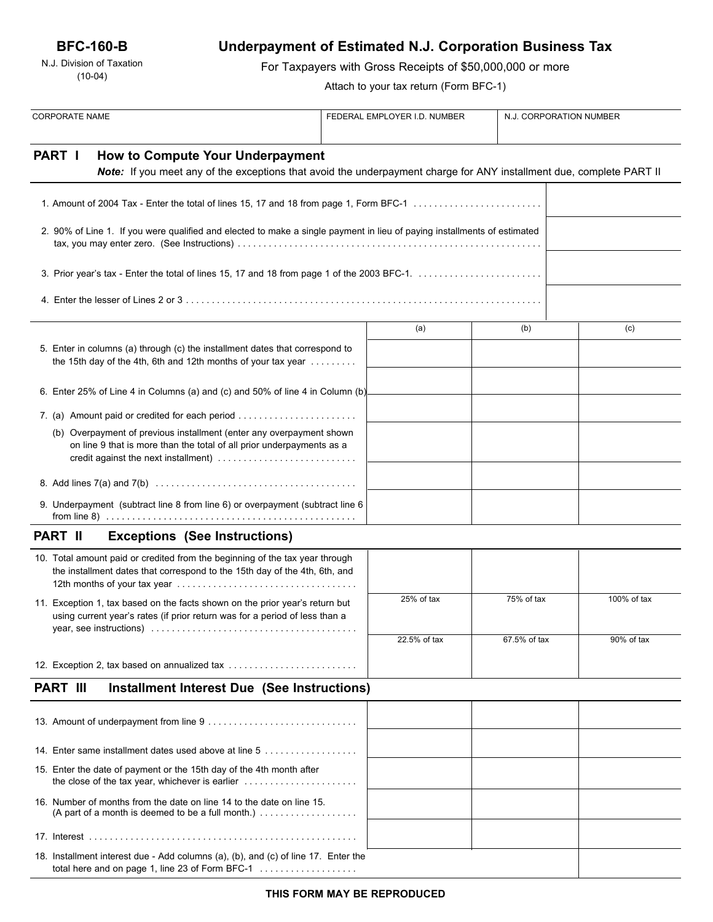N.J. Division of Taxation (10-04)

# **Underpayment of Estimated N.J. Corporation Business Tax**

For Taxpayers with Gross Receipts of \$50,000,000 or more

Attach to your tax return (Form BFC-1)

| <b>CORPORATE NAME</b>                                                                                                                                       |                                                                                                                                                                                       | FEDERAL EMPLOYER I.D. NUMBER |              |              | N.J. CORPORATION NUMBER |  |
|-------------------------------------------------------------------------------------------------------------------------------------------------------------|---------------------------------------------------------------------------------------------------------------------------------------------------------------------------------------|------------------------------|--------------|--------------|-------------------------|--|
| <b>PART I</b>                                                                                                                                               | How to Compute Your Underpayment<br>Note: If you meet any of the exceptions that avoid the underpayment charge for ANY installment due, complete PART II                              |                              |              |              |                         |  |
|                                                                                                                                                             |                                                                                                                                                                                       |                              |              |              |                         |  |
|                                                                                                                                                             |                                                                                                                                                                                       |                              |              |              |                         |  |
|                                                                                                                                                             | 2. 90% of Line 1. If you were qualified and elected to make a single payment in lieu of paying installments of estimated                                                              |                              |              |              |                         |  |
|                                                                                                                                                             |                                                                                                                                                                                       |                              |              |              |                         |  |
|                                                                                                                                                             |                                                                                                                                                                                       |                              |              |              |                         |  |
|                                                                                                                                                             |                                                                                                                                                                                       |                              | (a)          | (b)          | (c)                     |  |
|                                                                                                                                                             | 5. Enter in columns (a) through (c) the installment dates that correspond to<br>the 15th day of the 4th, 6th and 12th months of your tax year $\dots\dots\dots$                       |                              |              |              |                         |  |
|                                                                                                                                                             | 6. Enter 25% of Line 4 in Columns (a) and (c) and 50% of line 4 in Column (b)                                                                                                         |                              |              |              |                         |  |
|                                                                                                                                                             |                                                                                                                                                                                       |                              |              |              |                         |  |
|                                                                                                                                                             | (b) Overpayment of previous installment (enter any overpayment shown<br>on line 9 that is more than the total of all prior underpayments as a<br>credit against the next installment) |                              |              |              |                         |  |
|                                                                                                                                                             |                                                                                                                                                                                       |                              |              |              |                         |  |
|                                                                                                                                                             | 9. Underpayment (subtract line 8 from line 6) or overpayment (subtract line 6                                                                                                         |                              |              |              |                         |  |
| <b>PART II</b>                                                                                                                                              | <b>Exceptions (See Instructions)</b>                                                                                                                                                  |                              |              |              |                         |  |
|                                                                                                                                                             | 10. Total amount paid or credited from the beginning of the tax year through<br>the installment dates that correspond to the 15th day of the 4th, 6th, and                            |                              |              |              |                         |  |
| 11. Exception 1, tax based on the facts shown on the prior year's return but<br>using current year's rates (if prior return was for a period of less than a |                                                                                                                                                                                       |                              | 25% of tax   | 75% of tax   | 100% of tax             |  |
|                                                                                                                                                             |                                                                                                                                                                                       |                              | 22.5% of tax | 67.5% of tax | 90% of tax              |  |
|                                                                                                                                                             | 12. Exception 2, tax based on annualized tax                                                                                                                                          |                              |              |              |                         |  |
| <b>PART III</b>                                                                                                                                             | <b>Installment Interest Due (See Instructions)</b>                                                                                                                                    |                              |              |              |                         |  |
|                                                                                                                                                             |                                                                                                                                                                                       |                              |              |              |                         |  |
|                                                                                                                                                             | 14. Enter same installment dates used above at line 5                                                                                                                                 |                              |              |              |                         |  |
|                                                                                                                                                             | 15. Enter the date of payment or the 15th day of the 4th month after                                                                                                                  |                              |              |              |                         |  |
|                                                                                                                                                             | 16. Number of months from the date on line 14 to the date on line 15.<br>(A part of a month is deemed to be a full month.) $\ldots$                                                   |                              |              |              |                         |  |
|                                                                                                                                                             |                                                                                                                                                                                       |                              |              |              |                         |  |
|                                                                                                                                                             | 18. Installment interest due - Add columns (a), (b), and (c) of line 17. Enter the<br>total here and on page 1, line 23 of Form BFC-1                                                 |                              |              |              |                         |  |